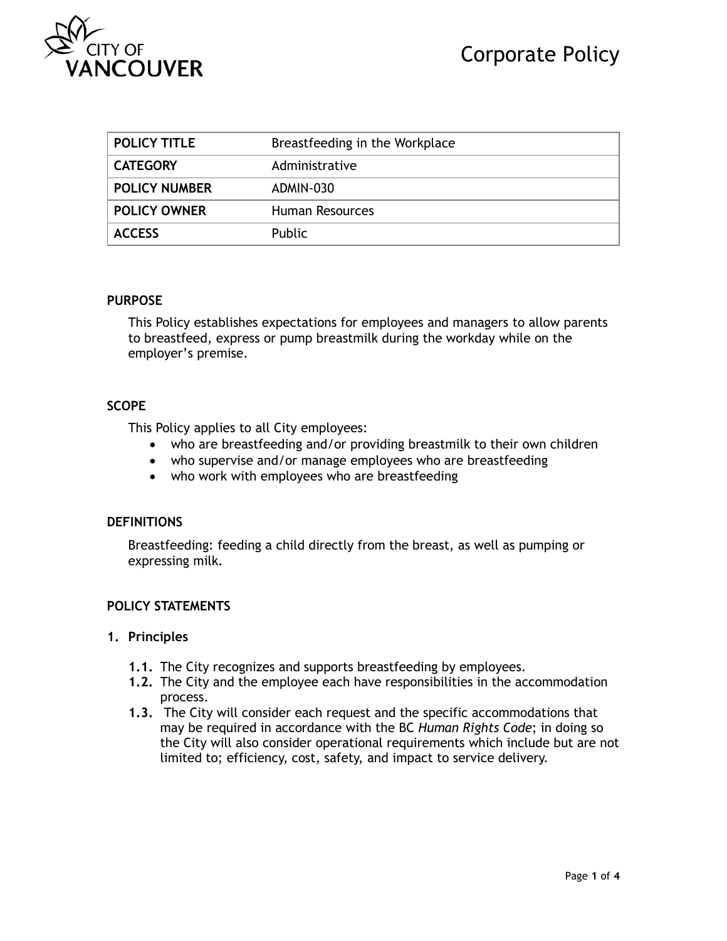

| <b>POLICY TITLE</b>  | Breastfeeding in the Workplace |
|----------------------|--------------------------------|
| <b>CATEGORY</b>      | Administrative                 |
| <b>POLICY NUMBER</b> | ADMIN-030                      |
| <b>POLICY OWNER</b>  | Human Resources                |
| <b>ACCESS</b>        | <b>Public</b>                  |

#### **PURPOSE**

This Policy establishes expectations for employees and managers to allow parents to breastfeed, express or pump breastmilk during the workday while on the employer's premise.

### **SCOPE**

This Policy applies to all City employees:

- who are breastfeeding and/or providing breastmilk to their own children
- who supervise and/or manage employees who are breastfeeding
- who work with employees who are breastfeeding

### **DEFINITIONS**

Breastfeeding: feeding a child directly from the breast, as well as pumping or expressing milk.

### **POLICY STATEMENTS**

### **1. Principles**

- **1.1.** The City recognizes and supports breastfeeding by employees.
- **1.2.** The City and the employee each have responsibilities in the accommodation process.
- **1.3.** The City will consider each request and the specific accommodations that may be required in accordance with the BC *Human Rights Code*; in doing so the City will also consider operational requirements which include but are not limited to; efficiency, cost, safety, and impact to service delivery.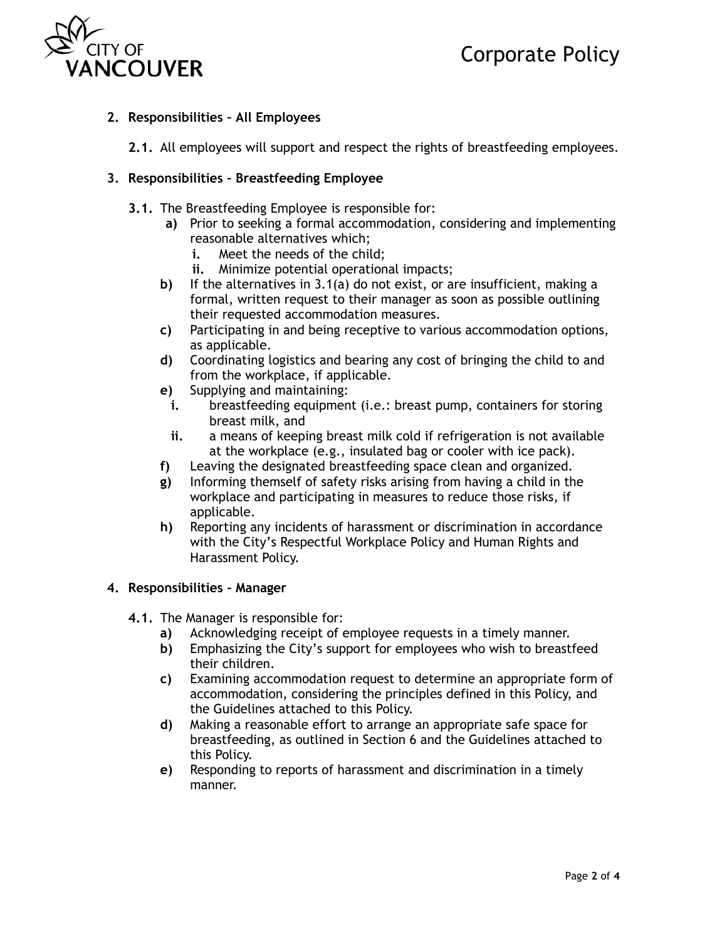

# **2. Responsibilities – All Employees**

**2.1.** All employees will support and respect the rights of breastfeeding employees.

## **3. Responsibilities – Breastfeeding Employee**

- **3.1.** The Breastfeeding Employee is responsible for:
	- **a)** Prior to seeking a formal accommodation, considering and implementing reasonable alternatives which;
		- **i.** Meet the needs of the child;
		- **ii.** Minimize potential operational impacts;
	- **b)** If the alternatives in 3.1(a) do not exist, or are insufficient, making a formal, written request to their manager as soon as possible outlining their requested accommodation measures.
	- **c)** Participating in and being receptive to various accommodation options, as applicable.
	- **d)** Coordinating logistics and bearing any cost of bringing the child to and from the workplace, if applicable.
	- **e)** Supplying and maintaining:
		- **i.** breastfeeding equipment (i.e.: breast pump, containers for storing breast milk, and
		- **ii.** a means of keeping breast milk cold if refrigeration is not available at the workplace (e.g., insulated bag or cooler with ice pack).
	- **f)** Leaving the designated breastfeeding space clean and organized.
	- **g)** Informing themself of safety risks arising from having a child in the workplace and participating in measures to reduce those risks, if applicable.
	- **h)** Reporting any incidents of harassment or discrimination in accordance with the City's Respectful Workplace Policy and Human Rights and Harassment Policy.

### **4. Responsibilities – Manager**

- **4.1.** The Manager is responsible for:
	- **a)** Acknowledging receipt of employee requests in a timely manner.
	- **b)** Emphasizing the City's support for employees who wish to breastfeed their children.
	- **c)** Examining accommodation request to determine an appropriate form of accommodation, considering the principles defined in this Policy, and the Guidelines attached to this Policy.
	- **d)** Making a reasonable effort to arrange an appropriate safe space for breastfeeding, as outlined in Section 6 and the Guidelines attached to this Policy.
	- **e)** Responding to reports of harassment and discrimination in a timely manner.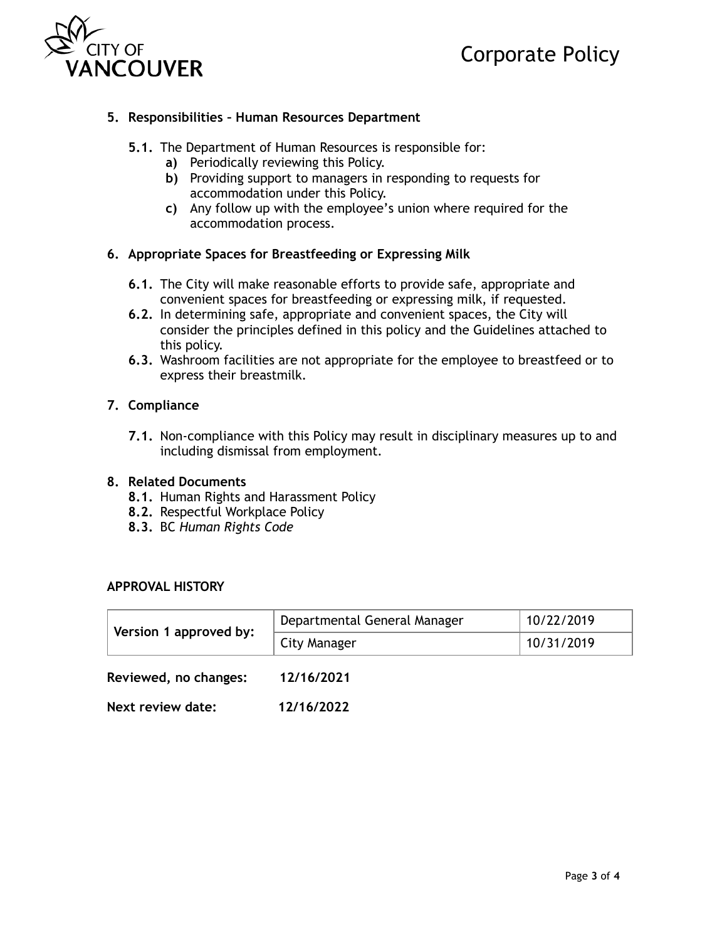



## **5. Responsibilities – Human Resources Department**

- **5.1.** The Department of Human Resources is responsible for:
	- **a)** Periodically reviewing this Policy.
	- **b)** Providing support to managers in responding to requests for accommodation under this Policy.
	- **c)** Any follow up with the employee's union where required for the accommodation process.

### **6. Appropriate Spaces for Breastfeeding or Expressing Milk**

- **6.1.** The City will make reasonable efforts to provide safe, appropriate and convenient spaces for breastfeeding or expressing milk, if requested.
- **6.2.** In determining safe, appropriate and convenient spaces, the City will consider the principles defined in this policy and the Guidelines attached to this policy.
- **6.3.** Washroom facilities are not appropriate for the employee to breastfeed or to express their breastmilk.

### **7. Compliance**

**7.1.** Non-compliance with this Policy may result in disciplinary measures up to and including dismissal from employment.

### **8. Related Documents**

- **8.1.** Human Rights and Harassment Policy
- **8.2.** Respectful Workplace Policy
- **8.3.** BC *Human Rights Code*

#### **APPROVAL HISTORY**

| Version 1 approved by: | Departmental General Manager | 10/22/2019 |
|------------------------|------------------------------|------------|
|                        | City Manager                 | 10/31/2019 |
| Reviewed, no changes:  | 12/16/2021                   |            |

**Next review date: 12/16/2022**